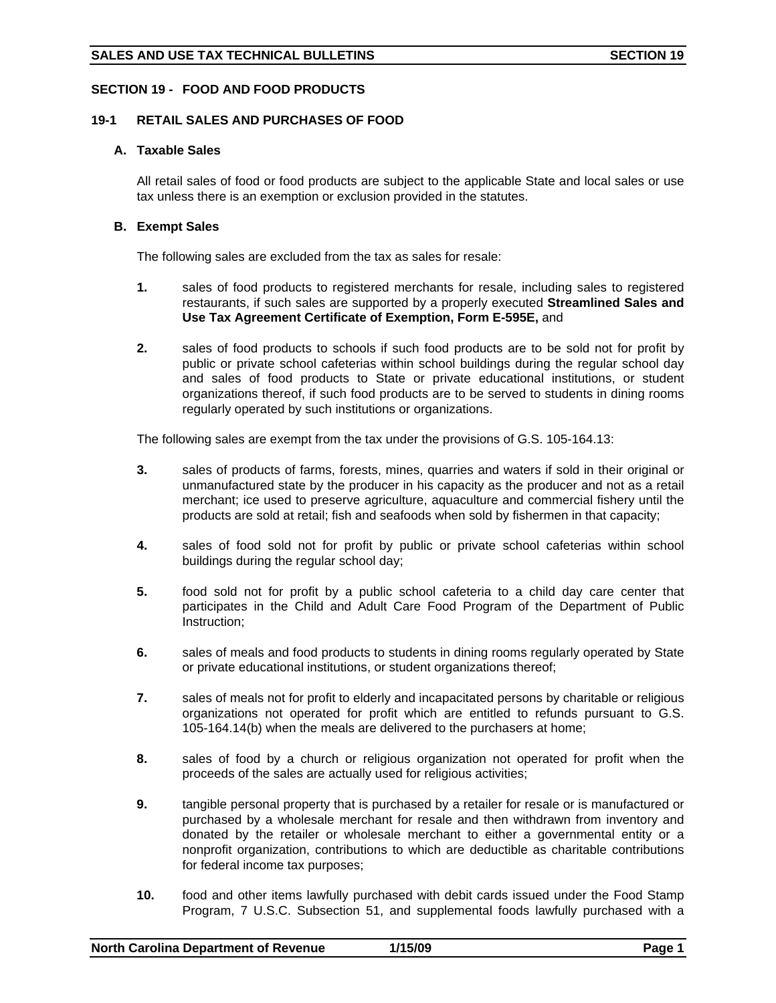# **SECTION 19 - FOOD AND FOOD PRODUCTS**

# **19-1 RETAIL SALES AND PURCHASES OF FOOD**

## **A. Taxable Sales**

All retail sales of food or food products are subject to the applicable State and local sales or use tax unless there is an exemption or exclusion provided in the statutes.

# **B. Exempt Sales**

The following sales are excluded from the tax as sales for resale:

- **1.** sales of food products to registered merchants for resale, including sales to registered restaurants, if such sales are supported by a properly executed **Streamlined Sales and Use Tax Agreement Certificate of Exemption, Form E-595E,** and
- **2.** sales of food products to schools if such food products are to be sold not for profit by public or private school cafeterias within school buildings during the regular school day and sales of food products to State or private educational institutions, or student organizations thereof, if such food products are to be served to students in dining rooms regularly operated by such institutions or organizations.

The following sales are exempt from the tax under the provisions of G.S. 105-164.13:

- **3.** sales of products of farms, forests, mines, quarries and waters if sold in their original or unmanufactured state by the producer in his capacity as the producer and not as a retail merchant; ice used to preserve agriculture, aquaculture and commercial fishery until the products are sold at retail; fish and seafoods when sold by fishermen in that capacity;
- **4.** sales of food sold not for profit by public or private school cafeterias within school buildings during the regular school day;
- **5.** food sold not for profit by a public school cafeteria to a child day care center that participates in the Child and Adult Care Food Program of the Department of Public Instruction;
- **6.** sales of meals and food products to students in dining rooms regularly operated by State or private educational institutions, or student organizations thereof;
- **7.** sales of meals not for profit to elderly and incapacitated persons by charitable or religious organizations not operated for profit which are entitled to refunds pursuant to G.S. 105-164.14(b) when the meals are delivered to the purchasers at home;
- **8.** sales of food by a church or religious organization not operated for profit when the proceeds of the sales are actually used for religious activities;
- **9.** tangible personal property that is purchased by a retailer for resale or is manufactured or purchased by a wholesale merchant for resale and then withdrawn from inventory and donated by the retailer or wholesale merchant to either a governmental entity or a nonprofit organization, contributions to which are deductible as charitable contributions for federal income tax purposes;
- **10.** food and other items lawfully purchased with debit cards issued under the Food Stamp Program, 7 U.S.C. Subsection 51, and supplemental foods lawfully purchased with a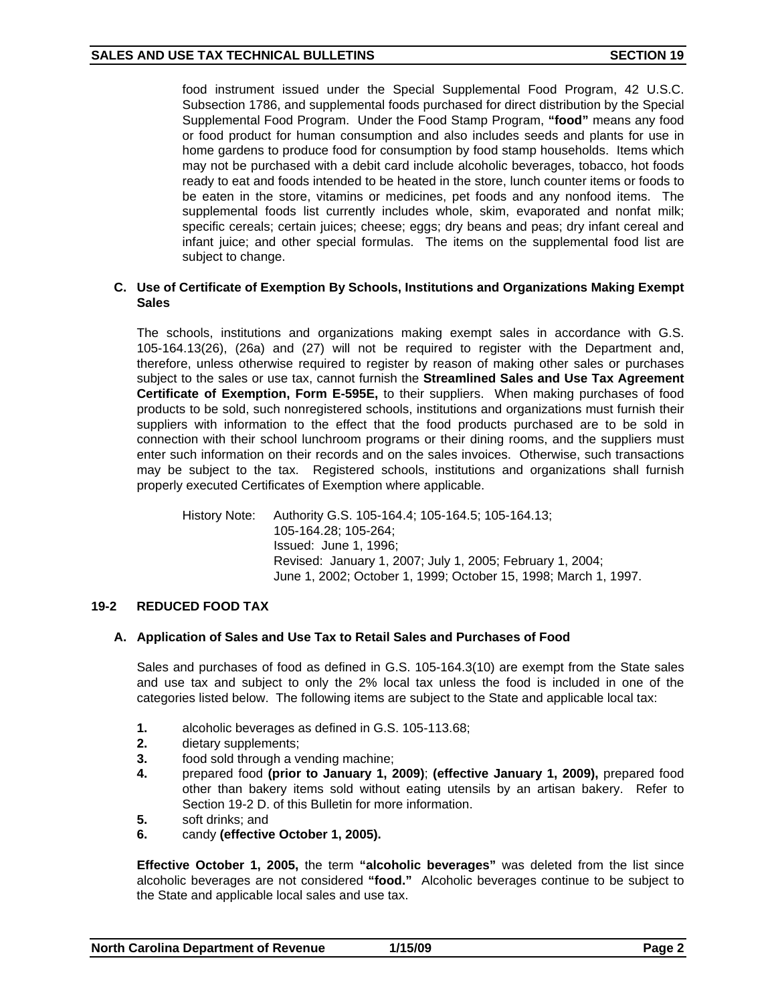food instrument issued under the Special Supplemental Food Program, 42 U.S.C. Subsection 1786, and supplemental foods purchased for direct distribution by the Special Supplemental Food Program. Under the Food Stamp Program, **"food"** means any food or food product for human consumption and also includes seeds and plants for use in home gardens to produce food for consumption by food stamp households. Items which may not be purchased with a debit card include alcoholic beverages, tobacco, hot foods ready to eat and foods intended to be heated in the store, lunch counter items or foods to be eaten in the store, vitamins or medicines, pet foods and any nonfood items. The supplemental foods list currently includes whole, skim, evaporated and nonfat milk; specific cereals; certain juices; cheese; eggs; dry beans and peas; dry infant cereal and infant juice; and other special formulas. The items on the supplemental food list are subject to change.

## **C. Use of Certificate of Exemption By Schools, Institutions and Organizations Making Exempt Sales**

The schools, institutions and organizations making exempt sales in accordance with G.S. 105-164.13(26), (26a) and (27) will not be required to register with the Department and, therefore, unless otherwise required to register by reason of making other sales or purchases subject to the sales or use tax, cannot furnish the **Streamlined Sales and Use Tax Agreement Certificate of Exemption, Form E-595E,** to their suppliers. When making purchases of food products to be sold, such nonregistered schools, institutions and organizations must furnish their suppliers with information to the effect that the food products purchased are to be sold in connection with their school lunchroom programs or their dining rooms, and the suppliers must enter such information on their records and on the sales invoices. Otherwise, such transactions may be subject to the tax. Registered schools, institutions and organizations shall furnish properly executed Certificates of Exemption where applicable.

History Note: Authority G.S. 105-164.4; 105-164.5; 105-164.13; 105-164.28; 105-264; Issued: June 1, 1996; Revised: January 1, 2007; July 1, 2005; February 1, 2004; June 1, 2002; October 1, 1999; October 15, 1998; March 1, 1997.

# **19-2 REDUCED FOOD TAX**

## **A. Application of Sales and Use Tax to Retail Sales and Purchases of Food**

Sales and purchases of food as defined in G.S. 105-164.3(10) are exempt from the State sales and use tax and subject to only the 2% local tax unless the food is included in one of the categories listed below. The following items are subject to the State and applicable local tax:

- **1.** alcoholic beverages as defined in G.S. 105-113.68;
- **2.** dietary supplements;
- **3.** food sold through a vending machine;
- **4.** prepared food **(prior to January 1, 2009)**; **(effective January 1, 2009),** prepared food other than bakery items sold without eating utensils by an artisan bakery. Refer to Section 19-2 D. of this Bulletin for more information.
- **5.** soft drinks; and
- **6.** candy **(effective October 1, 2005).**

**Effective October 1, 2005,** the term **"alcoholic beverages"** was deleted from the list since alcoholic beverages are not considered **"food."** Alcoholic beverages continue to be subject to the State and applicable local sales and use tax.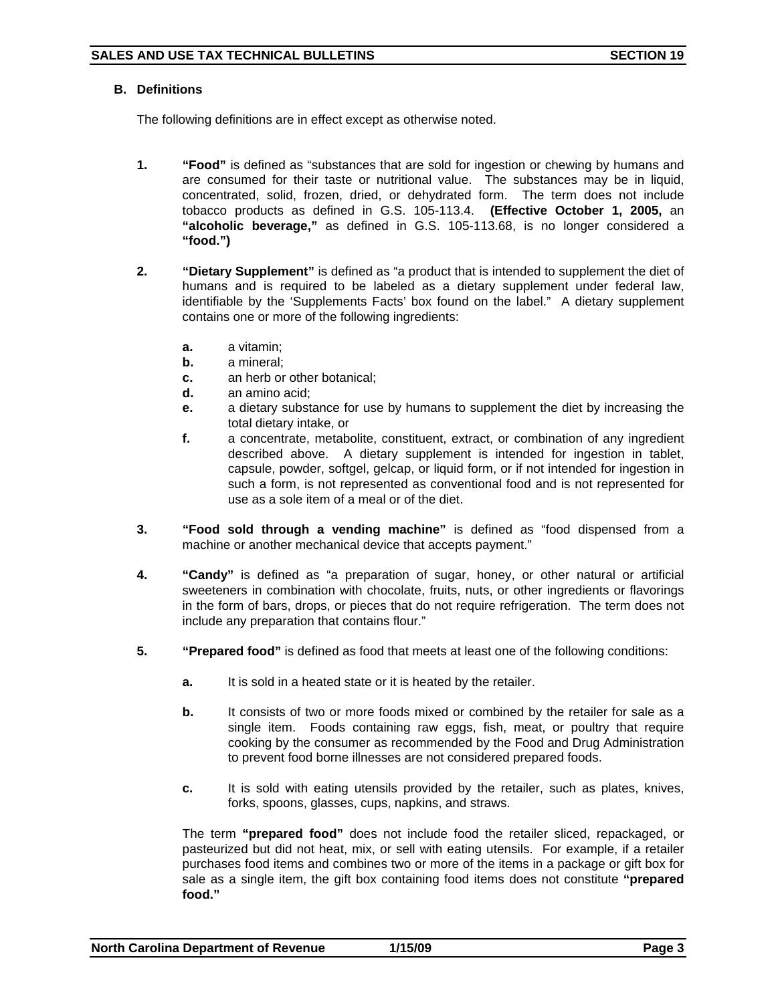# **B. Definitions**

The following definitions are in effect except as otherwise noted.

- **1. "Food"** is defined as "substances that are sold for ingestion or chewing by humans and are consumed for their taste or nutritional value. The substances may be in liquid, concentrated, solid, frozen, dried, or dehydrated form. The term does not include tobacco products as defined in G.S. 105-113.4. **(Effective October 1, 2005,** an **"alcoholic beverage,"** as defined in G.S. 105-113.68, is no longer considered a **"food.")**
- **2. "Dietary Supplement"** is defined as "a product that is intended to supplement the diet of humans and is required to be labeled as a dietary supplement under federal law, identifiable by the 'Supplements Facts' box found on the label." A dietary supplement contains one or more of the following ingredients:
	- **a.** a vitamin;
	- **b.** a mineral;
	- **c.** an herb or other botanical;
	- **d.** an amino acid;
	- **e.** a dietary substance for use by humans to supplement the diet by increasing the total dietary intake, or
	- **f.** a concentrate, metabolite, constituent, extract, or combination of any ingredient described above. A dietary supplement is intended for ingestion in tablet, capsule, powder, softgel, gelcap, or liquid form, or if not intended for ingestion in such a form, is not represented as conventional food and is not represented for use as a sole item of a meal or of the diet.
- **3. "Food sold through a vending machine"** is defined as "food dispensed from a machine or another mechanical device that accepts payment."
- **4. "Candy"** is defined as "a preparation of sugar, honey, or other natural or artificial sweeteners in combination with chocolate, fruits, nuts, or other ingredients or flavorings in the form of bars, drops, or pieces that do not require refrigeration. The term does not include any preparation that contains flour."
- **5. "Prepared food"** is defined as food that meets at least one of the following conditions:
	- **a.** It is sold in a heated state or it is heated by the retailer.
	- **b.** It consists of two or more foods mixed or combined by the retailer for sale as a single item. Foods containing raw eggs, fish, meat, or poultry that require cooking by the consumer as recommended by the Food and Drug Administration to prevent food borne illnesses are not considered prepared foods.
	- **c.** It is sold with eating utensils provided by the retailer, such as plates, knives, forks, spoons, glasses, cups, napkins, and straws.

The term **"prepared food"** does not include food the retailer sliced, repackaged, or pasteurized but did not heat, mix, or sell with eating utensils. For example, if a retailer purchases food items and combines two or more of the items in a package or gift box for sale as a single item, the gift box containing food items does not constitute **"prepared food."**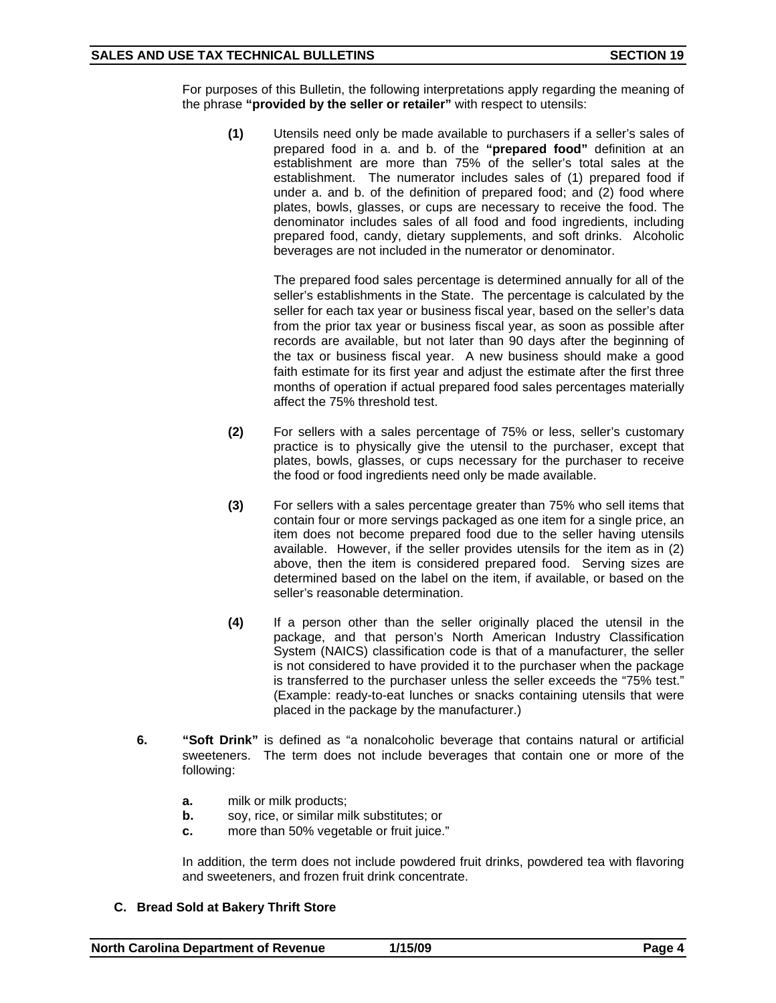For purposes of this Bulletin, the following interpretations apply regarding the meaning of the phrase **"provided by the seller or retailer"** with respect to utensils:

**(1)** Utensils need only be made available to purchasers if a seller's sales of prepared food in a. and b. of the **"prepared food"** definition at an establishment are more than 75% of the seller's total sales at the establishment. The numerator includes sales of (1) prepared food if under a. and b. of the definition of prepared food; and (2) food where plates, bowls, glasses, or cups are necessary to receive the food. The denominator includes sales of all food and food ingredients, including prepared food, candy, dietary supplements, and soft drinks. Alcoholic beverages are not included in the numerator or denominator.

The prepared food sales percentage is determined annually for all of the seller's establishments in the State. The percentage is calculated by the seller for each tax year or business fiscal year, based on the seller's data from the prior tax year or business fiscal year, as soon as possible after records are available, but not later than 90 days after the beginning of the tax or business fiscal year. A new business should make a good faith estimate for its first year and adjust the estimate after the first three months of operation if actual prepared food sales percentages materially affect the 75% threshold test.

- **(2)** For sellers with a sales percentage of 75% or less, seller's customary practice is to physically give the utensil to the purchaser, except that plates, bowls, glasses, or cups necessary for the purchaser to receive the food or food ingredients need only be made available.
- **(3)** For sellers with a sales percentage greater than 75% who sell items that contain four or more servings packaged as one item for a single price, an item does not become prepared food due to the seller having utensils available. However, if the seller provides utensils for the item as in (2) above, then the item is considered prepared food. Serving sizes are determined based on the label on the item, if available, or based on the seller's reasonable determination.
- **(4)** If a person other than the seller originally placed the utensil in the package, and that person's North American Industry Classification System (NAICS) classification code is that of a manufacturer, the seller is not considered to have provided it to the purchaser when the package is transferred to the purchaser unless the seller exceeds the "75% test." (Example: ready-to-eat lunches or snacks containing utensils that were placed in the package by the manufacturer.)
- **6. "Soft Drink"** is defined as "a nonalcoholic beverage that contains natural or artificial sweeteners. The term does not include beverages that contain one or more of the following:
	- **a.** milk or milk products;
	- **b.** soy, rice, or similar milk substitutes; or
	- **c.** more than 50% vegetable or fruit juice."

In addition, the term does not include powdered fruit drinks, powdered tea with flavoring and sweeteners, and frozen fruit drink concentrate.

## **C. Bread Sold at Bakery Thrift Store**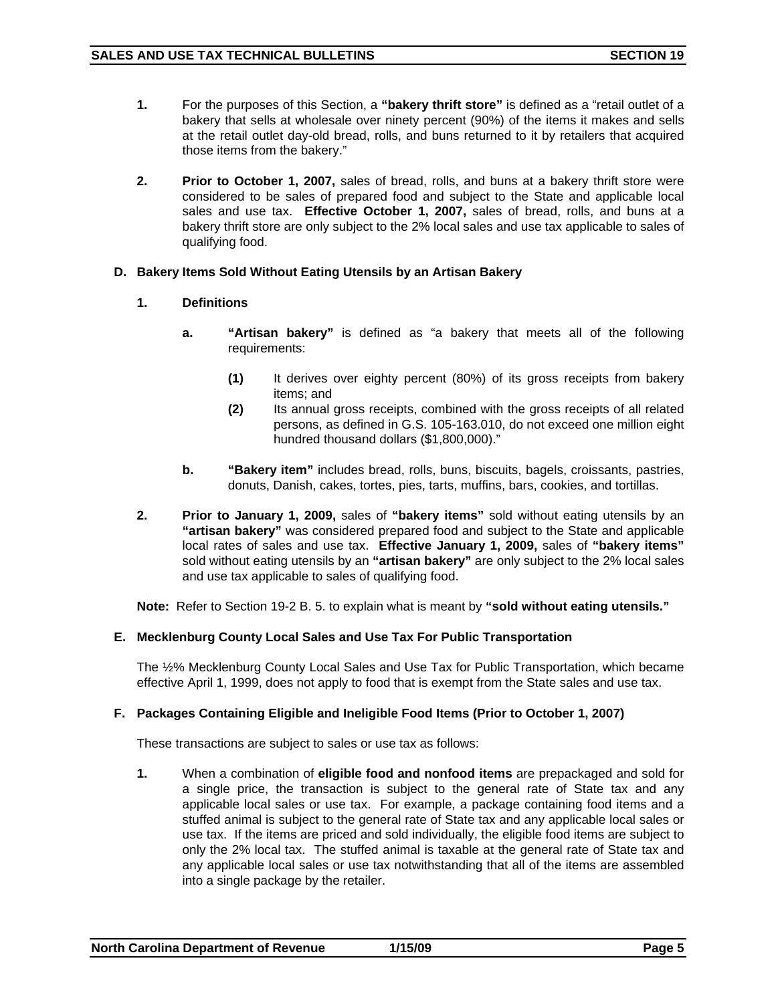- **1.** For the purposes of this Section, a **"bakery thrift store"** is defined as a "retail outlet of a bakery that sells at wholesale over ninety percent (90%) of the items it makes and sells at the retail outlet day-old bread, rolls, and buns returned to it by retailers that acquired those items from the bakery."
- **2. Prior to October 1, 2007,** sales of bread, rolls, and buns at a bakery thrift store were considered to be sales of prepared food and subject to the State and applicable local sales and use tax. **Effective October 1, 2007,** sales of bread, rolls, and buns at a bakery thrift store are only subject to the 2% local sales and use tax applicable to sales of qualifying food.

# **D. Bakery Items Sold Without Eating Utensils by an Artisan Bakery**

# **1. Definitions**

- **a. "Artisan bakery"** is defined as "a bakery that meets all of the following requirements:
	- **(1)** It derives over eighty percent (80%) of its gross receipts from bakery items; and
	- **(2)** Its annual gross receipts, combined with the gross receipts of all related persons, as defined in G.S. 105-163.010, do not exceed one million eight hundred thousand dollars (\$1,800,000)."
- **b. "Bakery item"** includes bread, rolls, buns, biscuits, bagels, croissants, pastries, donuts, Danish, cakes, tortes, pies, tarts, muffins, bars, cookies, and tortillas.
- **2. Prior to January 1, 2009,** sales of **"bakery items"** sold without eating utensils by an **"artisan bakery"** was considered prepared food and subject to the State and applicable local rates of sales and use tax. **Effective January 1, 2009,** sales of **"bakery items"**  sold without eating utensils by an **"artisan bakery"** are only subject to the 2% local sales and use tax applicable to sales of qualifying food.

**Note:** Refer to Section 19-2 B. 5. to explain what is meant by **"sold without eating utensils."** 

# **E. Mecklenburg County Local Sales and Use Tax For Public Transportation**

The ½% Mecklenburg County Local Sales and Use Tax for Public Transportation, which became effective April 1, 1999, does not apply to food that is exempt from the State sales and use tax.

## **F. Packages Containing Eligible and Ineligible Food Items (Prior to October 1, 2007)**

These transactions are subject to sales or use tax as follows:

**1.** When a combination of **eligible food and nonfood items** are prepackaged and sold for a single price, the transaction is subject to the general rate of State tax and any applicable local sales or use tax. For example, a package containing food items and a stuffed animal is subject to the general rate of State tax and any applicable local sales or use tax. If the items are priced and sold individually, the eligible food items are subject to only the 2% local tax. The stuffed animal is taxable at the general rate of State tax and any applicable local sales or use tax notwithstanding that all of the items are assembled into a single package by the retailer.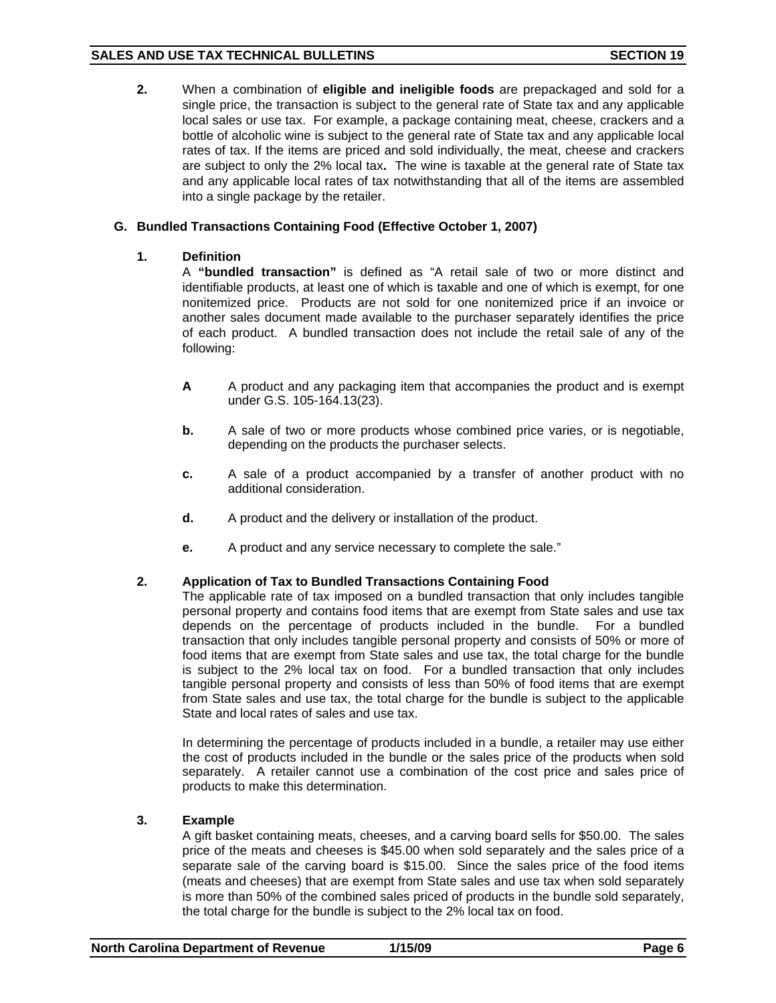**2.** When a combination of **eligible and ineligible foods** are prepackaged and sold for a single price, the transaction is subject to the general rate of State tax and any applicable local sales or use tax. For example, a package containing meat, cheese, crackers and a bottle of alcoholic wine is subject to the general rate of State tax and any applicable local rates of tax. If the items are priced and sold individually, the meat, cheese and crackers are subject to only the 2% local tax**.** The wine is taxable at the general rate of State tax and any applicable local rates of tax notwithstanding that all of the items are assembled into a single package by the retailer.

# **G. Bundled Transactions Containing Food (Effective October 1, 2007)**

# **1. Definition**

A **"bundled transaction"** is defined as "A retail sale of two or more distinct and identifiable products, at least one of which is taxable and one of which is exempt, for one nonitemized price. Products are not sold for one nonitemized price if an invoice or another sales document made available to the purchaser separately identifies the price of each product. A bundled transaction does not include the retail sale of any of the following:

- **A** A product and any packaging item that accompanies the product and is exempt under G.S. 105-164.13(23).
- **b.** A sale of two or more products whose combined price varies, or is negotiable, depending on the products the purchaser selects.
- **c.** A sale of a product accompanied by a transfer of another product with no additional consideration.
- **d.** A product and the delivery or installation of the product.
- **e.** A product and any service necessary to complete the sale."

# **2. Application of Tax to Bundled Transactions Containing Food**

The applicable rate of tax imposed on a bundled transaction that only includes tangible personal property and contains food items that are exempt from State sales and use tax depends on the percentage of products included in the bundle. For a bundled transaction that only includes tangible personal property and consists of 50% or more of food items that are exempt from State sales and use tax, the total charge for the bundle is subject to the 2% local tax on food. For a bundled transaction that only includes tangible personal property and consists of less than 50% of food items that are exempt from State sales and use tax, the total charge for the bundle is subject to the applicable State and local rates of sales and use tax.

In determining the percentage of products included in a bundle, a retailer may use either the cost of products included in the bundle or the sales price of the products when sold separately. A retailer cannot use a combination of the cost price and sales price of products to make this determination.

## **3. Example**

A gift basket containing meats, cheeses, and a carving board sells for \$50.00. The sales price of the meats and cheeses is \$45.00 when sold separately and the sales price of a separate sale of the carving board is \$15.00. Since the sales price of the food items (meats and cheeses) that are exempt from State sales and use tax when sold separately is more than 50% of the combined sales priced of products in the bundle sold separately, the total charge for the bundle is subject to the 2% local tax on food.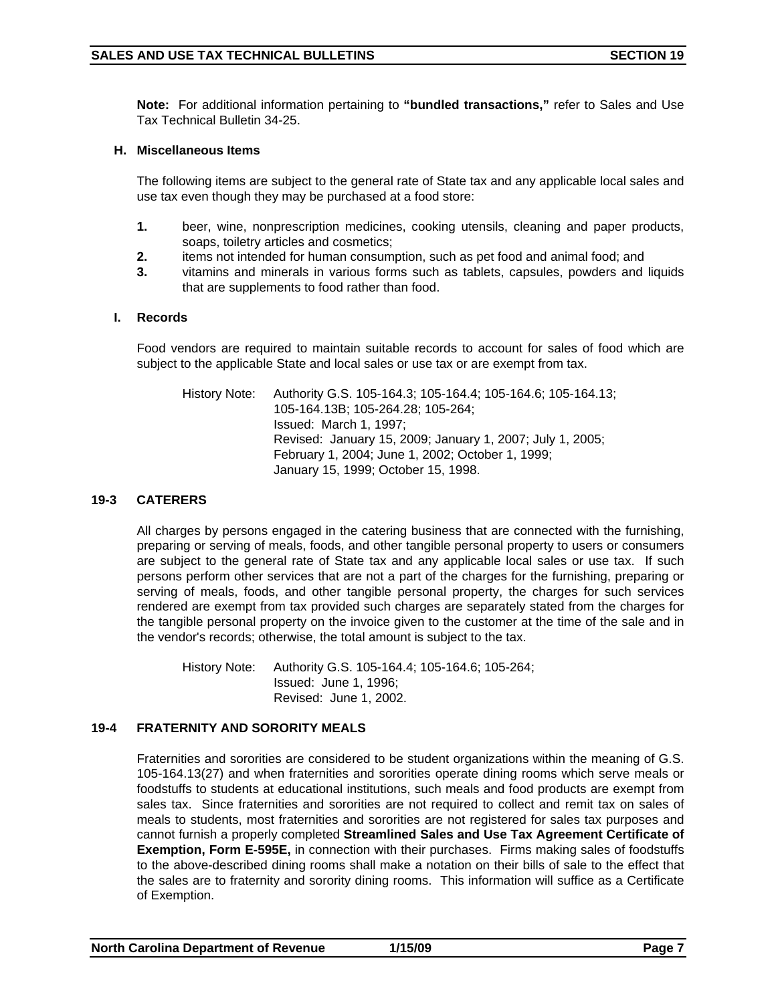**Note:** For additional information pertaining to **"bundled transactions,"** refer to Sales and Use Tax Technical Bulletin 34-25.

## **H. Miscellaneous Items**

The following items are subject to the general rate of State tax and any applicable local sales and use tax even though they may be purchased at a food store:

- **1.** beer, wine, nonprescription medicines, cooking utensils, cleaning and paper products, soaps, toiletry articles and cosmetics;
- **2.** items not intended for human consumption, such as pet food and animal food; and
- **3.** vitamins and minerals in various forms such as tablets, capsules, powders and liquids that are supplements to food rather than food.

# **I. Records**

Food vendors are required to maintain suitable records to account for sales of food which are subject to the applicable State and local sales or use tax or are exempt from tax.

History Note: Authority G.S. 105-164.3; 105-164.4; 105-164.6; 105-164.13; 105-164.13B; 105-264.28; 105-264; Issued: March 1, 1997; Revised: January 15, 2009; January 1, 2007; July 1, 2005; February 1, 2004; June 1, 2002; October 1, 1999; January 15, 1999; October 15, 1998.

## **19-3 CATERERS**

All charges by persons engaged in the catering business that are connected with the furnishing, preparing or serving of meals, foods, and other tangible personal property to users or consumers are subject to the general rate of State tax and any applicable local sales or use tax. If such persons perform other services that are not a part of the charges for the furnishing, preparing or serving of meals, foods, and other tangible personal property, the charges for such services rendered are exempt from tax provided such charges are separately stated from the charges for the tangible personal property on the invoice given to the customer at the time of the sale and in the vendor's records; otherwise, the total amount is subject to the tax.

History Note: Authority G.S. 105-164.4; 105-164.6; 105-264; Issued: June 1, 1996; Revised: June 1, 2002.

# **19-4 FRATERNITY AND SORORITY MEALS**

Fraternities and sororities are considered to be student organizations within the meaning of G.S. 105-164.13(27) and when fraternities and sororities operate dining rooms which serve meals or foodstuffs to students at educational institutions, such meals and food products are exempt from sales tax. Since fraternities and sororities are not required to collect and remit tax on sales of meals to students, most fraternities and sororities are not registered for sales tax purposes and cannot furnish a properly completed **Streamlined Sales and Use Tax Agreement Certificate of Exemption, Form E-595E,** in connection with their purchases. Firms making sales of foodstuffs to the above-described dining rooms shall make a notation on their bills of sale to the effect that the sales are to fraternity and sorority dining rooms. This information will suffice as a Certificate of Exemption.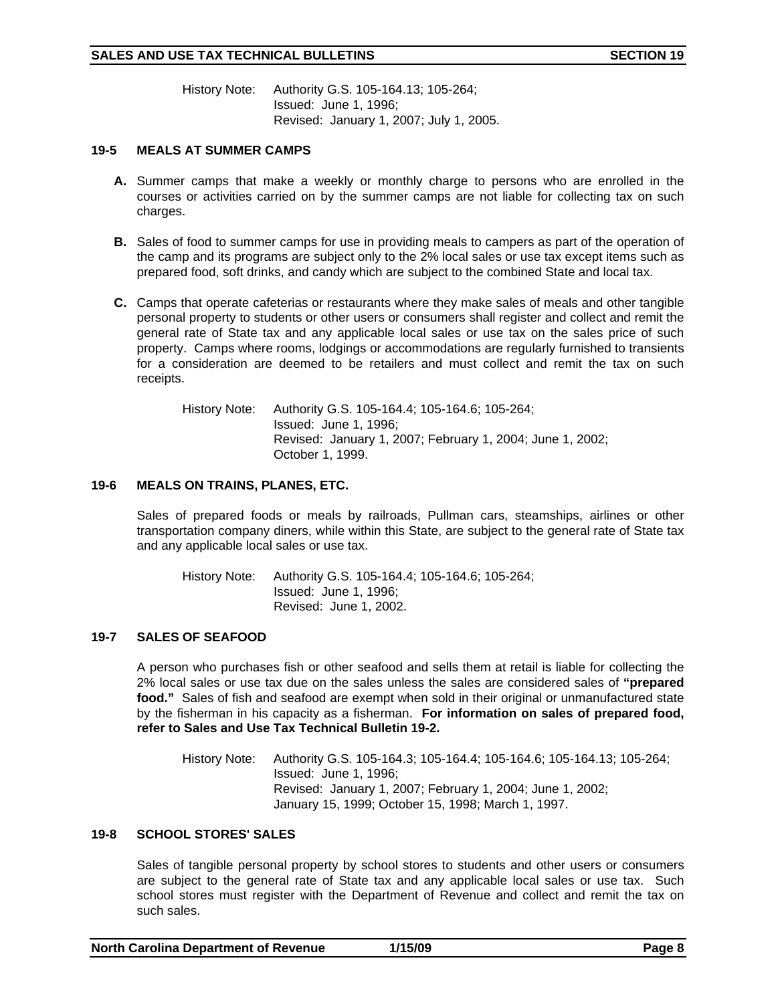# SALES AND USE TAX TECHNICAL BULLETINS **SECTION 19**

History Note: Authority G.S. 105-164.13; 105-264; Issued: June 1, 1996; Revised: January 1, 2007; July 1, 2005.

## **19-5 MEALS AT SUMMER CAMPS**

- **A.** Summer camps that make a weekly or monthly charge to persons who are enrolled in the courses or activities carried on by the summer camps are not liable for collecting tax on such charges.
- **B.** Sales of food to summer camps for use in providing meals to campers as part of the operation of the camp and its programs are subject only to the 2% local sales or use tax except items such as prepared food, soft drinks, and candy which are subject to the combined State and local tax.
- **C.** Camps that operate cafeterias or restaurants where they make sales of meals and other tangible personal property to students or other users or consumers shall register and collect and remit the general rate of State tax and any applicable local sales or use tax on the sales price of such property. Camps where rooms, lodgings or accommodations are regularly furnished to transients for a consideration are deemed to be retailers and must collect and remit the tax on such receipts.

History Note: Authority G.S. 105-164.4; 105-164.6; 105-264; Issued: June 1, 1996; Revised: January 1, 2007; February 1, 2004; June 1, 2002; October 1, 1999.

# **19-6 MEALS ON TRAINS, PLANES, ETC.**

Sales of prepared foods or meals by railroads, Pullman cars, steamships, airlines or other transportation company diners, while within this State, are subject to the general rate of State tax and any applicable local sales or use tax.

History Note: Authority G.S. 105-164.4; 105-164.6; 105-264; Issued: June 1, 1996; Revised: June 1, 2002.

# **19-7 SALES OF SEAFOOD**

A person who purchases fish or other seafood and sells them at retail is liable for collecting the 2% local sales or use tax due on the sales unless the sales are considered sales of **"prepared food."** Sales of fish and seafood are exempt when sold in their original or unmanufactured state by the fisherman in his capacity as a fisherman. **For information on sales of prepared food, refer to Sales and Use Tax Technical Bulletin 19-2.** 

History Note: Authority G.S. 105-164.3; 105-164.4; 105-164.6; 105-164.13; 105-264; Issued: June 1, 1996; Revised: January 1, 2007; February 1, 2004; June 1, 2002; January 15, 1999; October 15, 1998; March 1, 1997.

## **19-8 SCHOOL STORES' SALES**

Sales of tangible personal property by school stores to students and other users or consumers are subject to the general rate of State tax and any applicable local sales or use tax. Such school stores must register with the Department of Revenue and collect and remit the tax on such sales.

| <b>North Carolina Department of Revenue</b> | 1/15/09 | Page 8 |
|---------------------------------------------|---------|--------|
|---------------------------------------------|---------|--------|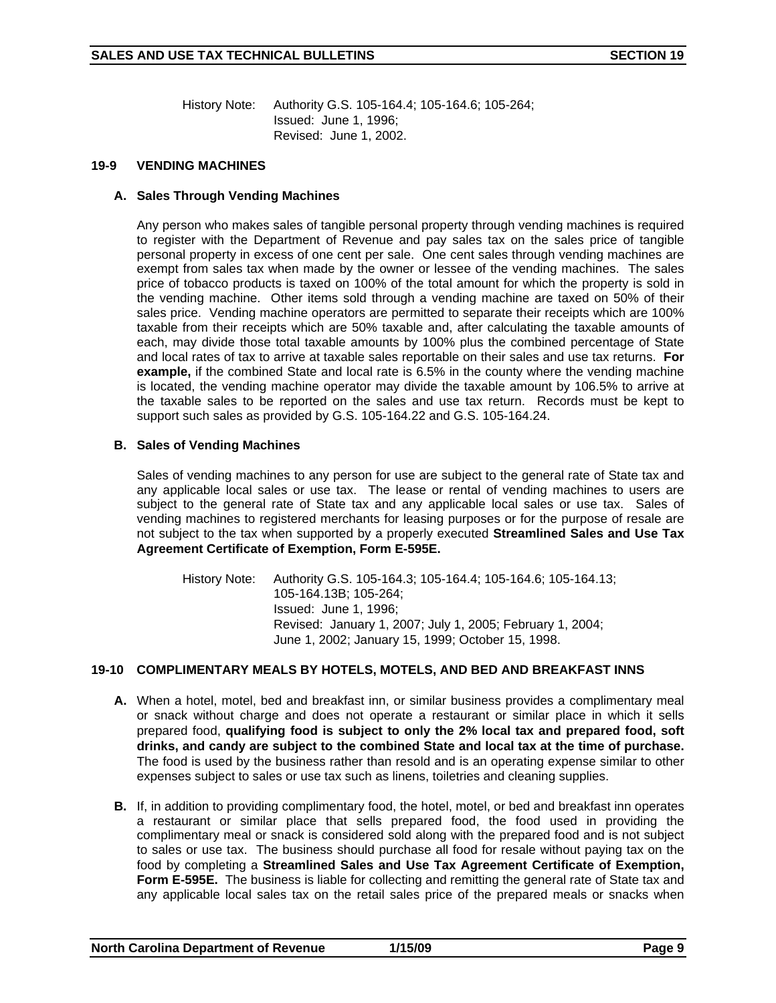History Note: Authority G.S. 105-164.4; 105-164.6; 105-264; Issued: June 1, 1996; Revised: June 1, 2002.

#### **19-9 VENDING MACHINES**

#### **A. Sales Through Vending Machines**

Any person who makes sales of tangible personal property through vending machines is required to register with the Department of Revenue and pay sales tax on the sales price of tangible personal property in excess of one cent per sale. One cent sales through vending machines are exempt from sales tax when made by the owner or lessee of the vending machines. The sales price of tobacco products is taxed on 100% of the total amount for which the property is sold in the vending machine. Other items sold through a vending machine are taxed on 50% of their sales price. Vending machine operators are permitted to separate their receipts which are 100% taxable from their receipts which are 50% taxable and, after calculating the taxable amounts of each, may divide those total taxable amounts by 100% plus the combined percentage of State and local rates of tax to arrive at taxable sales reportable on their sales and use tax returns. **For example,** if the combined State and local rate is 6.5% in the county where the vending machine is located, the vending machine operator may divide the taxable amount by 106.5% to arrive at the taxable sales to be reported on the sales and use tax return. Records must be kept to support such sales as provided by G.S. 105-164.22 and G.S. 105-164.24.

## **B. Sales of Vending Machines**

 Sales of vending machines to any person for use are subject to the general rate of State tax and any applicable local sales or use tax. The lease or rental of vending machines to users are subject to the general rate of State tax and any applicable local sales or use tax. Sales of vending machines to registered merchants for leasing purposes or for the purpose of resale are not subject to the tax when supported by a properly executed **Streamlined Sales and Use Tax Agreement Certificate of Exemption, Form E-595E.**

History Note: Authority G.S. 105-164.3; 105-164.4; 105-164.6; 105-164.13; 105-164.13B; 105-264; Issued: June 1, 1996; Revised: January 1, 2007; July 1, 2005; February 1, 2004; June 1, 2002; January 15, 1999; October 15, 1998.

## **19-10 COMPLIMENTARY MEALS BY HOTELS, MOTELS, AND BED AND BREAKFAST INNS**

- **A.** When a hotel, motel, bed and breakfast inn, or similar business provides a complimentary meal or snack without charge and does not operate a restaurant or similar place in which it sells prepared food, **qualifying food is subject to only the 2% local tax and prepared food, soft drinks, and candy are subject to the combined State and local tax at the time of purchase.**  The food is used by the business rather than resold and is an operating expense similar to other expenses subject to sales or use tax such as linens, toiletries and cleaning supplies.
- **B.** If, in addition to providing complimentary food, the hotel, motel, or bed and breakfast inn operates a restaurant or similar place that sells prepared food, the food used in providing the complimentary meal or snack is considered sold along with the prepared food and is not subject to sales or use tax. The business should purchase all food for resale without paying tax on the food by completing a **Streamlined Sales and Use Tax Agreement Certificate of Exemption, Form E-595E.** The business is liable for collecting and remitting the general rate of State tax and any applicable local sales tax on the retail sales price of the prepared meals or snacks when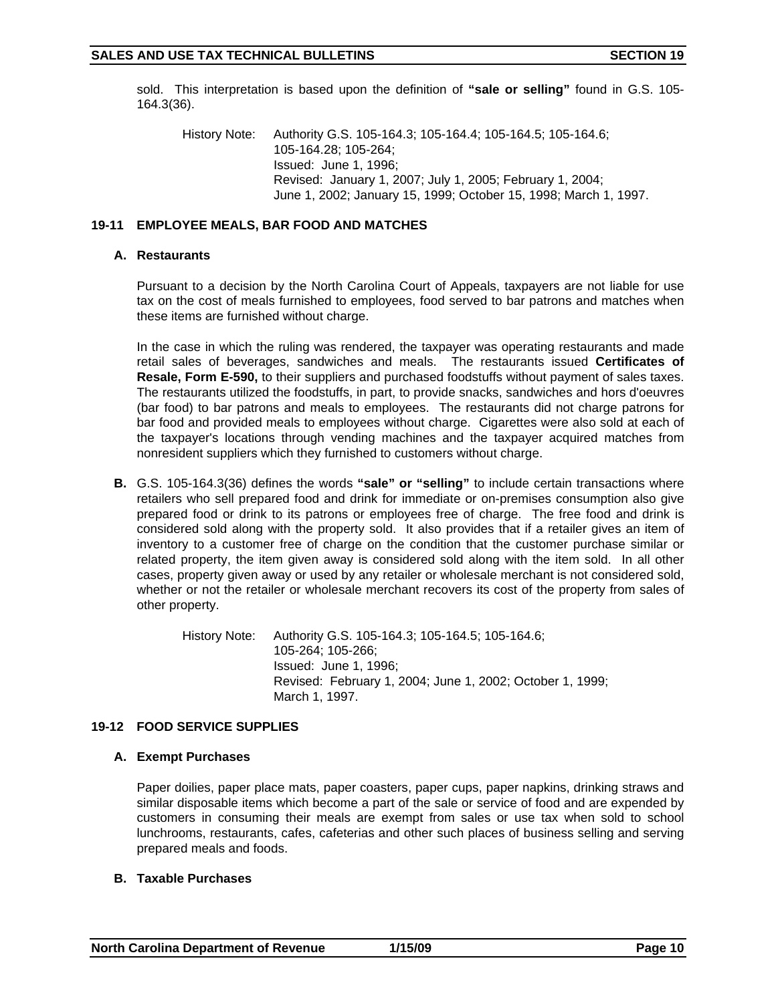sold. This interpretation is based upon the definition of **"sale or selling"** found in G.S. 105- 164.3(36).

History Note: Authority G.S. 105-164.3; 105-164.4; 105-164.5; 105-164.6; 105-164.28; 105-264; Issued: June 1, 1996; Revised: January 1, 2007; July 1, 2005; February 1, 2004; June 1, 2002; January 15, 1999; October 15, 1998; March 1, 1997.

# **19-11 EMPLOYEE MEALS, BAR FOOD AND MATCHES**

## **A. Restaurants**

Pursuant to a decision by the North Carolina Court of Appeals, taxpayers are not liable for use tax on the cost of meals furnished to employees, food served to bar patrons and matches when these items are furnished without charge.

In the case in which the ruling was rendered, the taxpayer was operating restaurants and made retail sales of beverages, sandwiches and meals. The restaurants issued **Certificates of Resale, Form E-590,** to their suppliers and purchased foodstuffs without payment of sales taxes. The restaurants utilized the foodstuffs, in part, to provide snacks, sandwiches and hors d'oeuvres (bar food) to bar patrons and meals to employees. The restaurants did not charge patrons for bar food and provided meals to employees without charge. Cigarettes were also sold at each of the taxpayer's locations through vending machines and the taxpayer acquired matches from nonresident suppliers which they furnished to customers without charge.

**B.** G.S. 105-164.3(36) defines the words **"sale" or "selling"** to include certain transactions where retailers who sell prepared food and drink for immediate or on-premises consumption also give prepared food or drink to its patrons or employees free of charge. The free food and drink is considered sold along with the property sold. It also provides that if a retailer gives an item of inventory to a customer free of charge on the condition that the customer purchase similar or related property, the item given away is considered sold along with the item sold. In all other cases, property given away or used by any retailer or wholesale merchant is not considered sold, whether or not the retailer or wholesale merchant recovers its cost of the property from sales of other property.

> History Note: Authority G.S. 105-164.3; 105-164.5; 105-164.6; 105-264; 105-266; Issued: June 1, 1996; Revised: February 1, 2004; June 1, 2002; October 1, 1999; March 1, 1997.

# **19-12 FOOD SERVICE SUPPLIES**

## **A. Exempt Purchases**

Paper doilies, paper place mats, paper coasters, paper cups, paper napkins, drinking straws and similar disposable items which become a part of the sale or service of food and are expended by customers in consuming their meals are exempt from sales or use tax when sold to school lunchrooms, restaurants, cafes, cafeterias and other such places of business selling and serving prepared meals and foods.

## **B. Taxable Purchases**